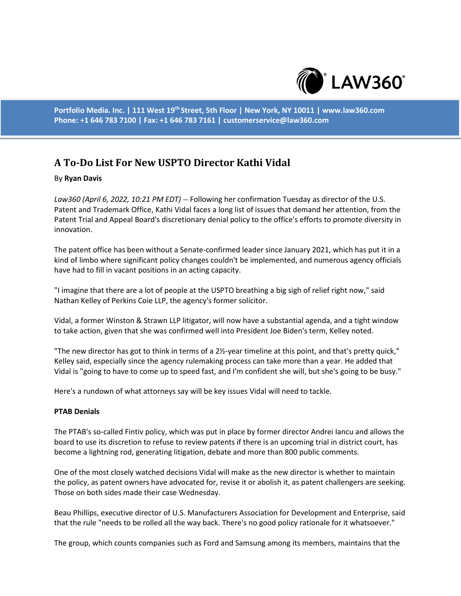

**Portfolio Media. Inc. | 111 West 19th Street, 5th Floor | New York, NY 10011 | www.law360.com Phone: +1 646 783 7100 | Fax: +1 646 783 7161 | customerservice@law360.com**

# **A To-Do List For New USPTO Director Kathi Vidal**

## By **Ryan Davis**

*Law360 (April 6, 2022, 10:21 PM EDT)* -- Following her confirmation Tuesday as director of the U.S. Patent and Trademark Office, Kathi Vidal faces a long list of issues that demand her attention, from the Patent Trial and Appeal Board's discretionary denial policy to the office's efforts to promote diversity in innovation.

The patent office has been without a Senate-confirmed leader since January 2021, which has put it in a kind of limbo where significant policy changes couldn't be implemented, and numerous agency officials have had to fill in vacant positions in an acting capacity.

"I imagine that there are a lot of people at the USPTO breathing a big sigh of relief right now," said Nathan Kelley of Perkins Coie LLP, the agency's former solicitor.

Vidal, a former Winston & Strawn LLP litigator, will now have a substantial agenda, and a tight window to take action, given that she was confirmed well into President Joe Biden's term, Kelley noted.

"The new director has got to think in terms of a 2½-year timeline at this point, and that's pretty quick," Kelley said, especially since the agency rulemaking process can take more than a year. He added that Vidal is "going to have to come up to speed fast, and I'm confident she will, but she's going to be busy."

Here's a rundown of what attorneys say will be key issues Vidal will need to tackle.

#### **PTAB Denials**

The PTAB's so-called Fintiv policy, which was put in place by former director Andrei Iancu and allows the board to use its discretion to refuse to review patents if there is an upcoming trial in district court, has become a lightning rod, generating litigation, debate and more than 800 public comments.

One of the most closely watched decisions Vidal will make as the new director is whether to maintain the policy, as patent owners have advocated for, revise it or abolish it, as patent challengers are seeking. Those on both sides made their case Wednesday.

Beau Phillips, executive director of U.S. Manufacturers Association for Development and Enterprise, said that the rule "needs to be rolled all the way back. There's no good policy rationale for it whatsoever."

The group, which counts companies such as Ford and Samsung among its members, maintains that the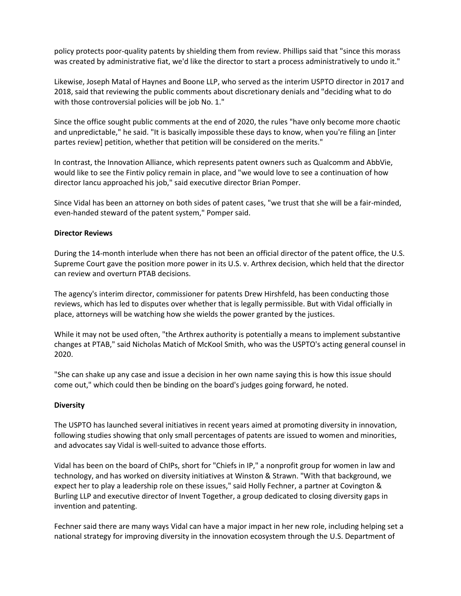policy protects poor-quality patents by shielding them from review. Phillips said that "since this morass was created by administrative fiat, we'd like the director to start a process administratively to undo it."

Likewise, Joseph Matal of Haynes and Boone LLP, who served as the interim USPTO director in 2017 and 2018, said that reviewing the public comments about discretionary denials and "deciding what to do with those controversial policies will be job No. 1."

Since the office sought public comments at the end of 2020, the rules "have only become more chaotic and unpredictable," he said. "It is basically impossible these days to know, when you're filing an [inter partes review] petition, whether that petition will be considered on the merits."

In contrast, the Innovation Alliance, which represents patent owners such as Qualcomm and AbbVie, would like to see the Fintiv policy remain in place, and "we would love to see a continuation of how director Iancu approached his job," said executive director Brian Pomper.

Since Vidal has been an attorney on both sides of patent cases, "we trust that she will be a fair-minded, even-handed steward of the patent system," Pomper said.

## **Director Reviews**

During the 14-month interlude when there has not been an official director of the patent office, the U.S. Supreme Court gave the position more power in its U.S. v. Arthrex decision, which held that the director can review and overturn PTAB decisions.

The agency's interim director, commissioner for patents Drew Hirshfeld, has been conducting those reviews, which has led to disputes over whether that is legally permissible. But with Vidal officially in place, attorneys will be watching how she wields the power granted by the justices.

While it may not be used often, "the Arthrex authority is potentially a means to implement substantive changes at PTAB," said Nicholas Matich of McKool Smith, who was the USPTO's acting general counsel in 2020.

"She can shake up any case and issue a decision in her own name saying this is how this issue should come out," which could then be binding on the board's judges going forward, he noted.

#### **Diversity**

The USPTO has launched several initiatives in recent years aimed at promoting diversity in innovation, following studies showing that only small percentages of patents are issued to women and minorities, and advocates say Vidal is well-suited to advance those efforts.

Vidal has been on the board of ChIPs, short for "Chiefs in IP," a nonprofit group for women in law and technology, and has worked on diversity initiatives at Winston & Strawn. "With that background, we expect her to play a leadership role on these issues," said Holly Fechner, a partner at Covington & Burling LLP and executive director of Invent Together, a group dedicated to closing diversity gaps in invention and patenting.

Fechner said there are many ways Vidal can have a major impact in her new role, including helping set a national strategy for improving diversity in the innovation ecosystem through the U.S. Department of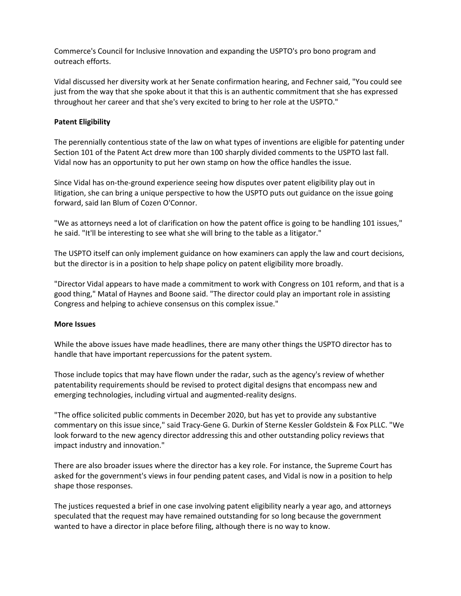Commerce's Council for Inclusive Innovation and expanding the USPTO's pro bono program and outreach efforts.

Vidal discussed her diversity work at her Senate confirmation hearing, and Fechner said, "You could see just from the way that she spoke about it that this is an authentic commitment that she has expressed throughout her career and that she's very excited to bring to her role at the USPTO."

# **Patent Eligibility**

The perennially contentious state of the law on what types of inventions are eligible for patenting under Section 101 of the Patent Act drew more than 100 sharply divided comments to the USPTO last fall. Vidal now has an opportunity to put her own stamp on how the office handles the issue.

Since Vidal has on-the-ground experience seeing how disputes over patent eligibility play out in litigation, she can bring a unique perspective to how the USPTO puts out guidance on the issue going forward, said Ian Blum of Cozen O'Connor.

"We as attorneys need a lot of clarification on how the patent office is going to be handling 101 issues," he said. "It'll be interesting to see what she will bring to the table as a litigator."

The USPTO itself can only implement guidance on how examiners can apply the law and court decisions, but the director is in a position to help shape policy on patent eligibility more broadly.

"Director Vidal appears to have made a commitment to work with Congress on 101 reform, and that is a good thing," Matal of Haynes and Boone said. "The director could play an important role in assisting Congress and helping to achieve consensus on this complex issue."

## **More Issues**

While the above issues have made headlines, there are many other things the USPTO director has to handle that have important repercussions for the patent system.

Those include topics that may have flown under the radar, such as the agency's review of whether patentability requirements should be revised to protect digital designs that encompass new and emerging technologies, including virtual and augmented-reality designs.

"The office solicited public comments in December 2020, but has yet to provide any substantive commentary on this issue since," said Tracy-Gene G. Durkin of Sterne Kessler Goldstein & Fox PLLC. "We look forward to the new agency director addressing this and other outstanding policy reviews that impact industry and innovation."

There are also broader issues where the director has a key role. For instance, the Supreme Court has asked for the government's views in four pending patent cases, and Vidal is now in a position to help shape those responses.

The justices requested a brief in one case involving patent eligibility nearly a year ago, and attorneys speculated that the request may have remained outstanding for so long because the government wanted to have a director in place before filing, although there is no way to know.